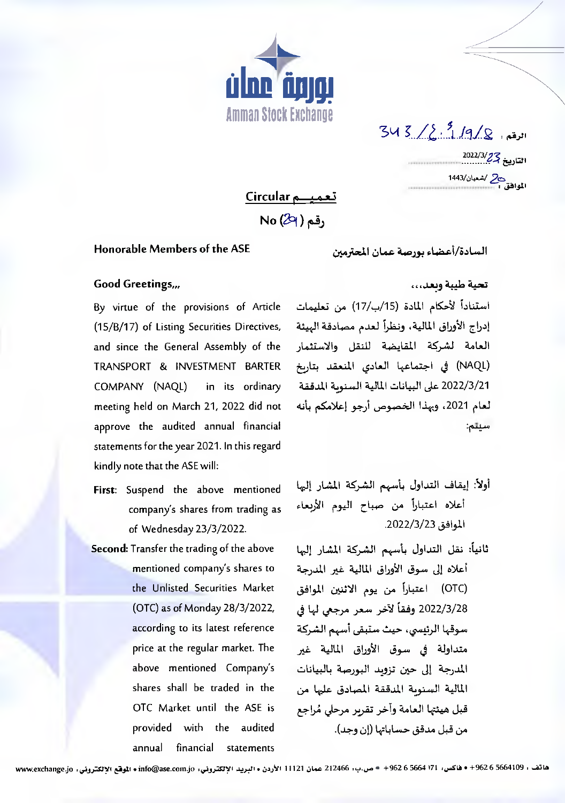

 $343/2.9/2.9$ التاريخ 2022/3/*27*<br>التاريخ 2022/3/27 المعادة المتحدة 1443/<br>المعادة المتحدد

تعميم Circular

 $No(29)$  ,قم

## Honorable Members of the ASE

السادة/أعضاء يورصة عمان المحترمين

## Good Greetings,,,

(15/B/17) of Listing Securities Directives, and since the General Assembly of the TRANSPORT & INVESTMENT BARTER COMPANY (NAQL) in its ordinary meeting held on March 21, 2022 did not approve the audited annual financial statements for the year 2021. In this regard kindly note that the ASE will:

- First: Suspend the above mentioned company's shares from trading as of Wednesday 23/3/2022.
- Second: Transfer the trading of the above mentioned company's shares to the Unlisted Securities Market (OTC) as of Monday 28/3/2022, according to its latest reference price at the regular market. The above mentioned Company's shares shall be traded in the OTC Market until the ASE is provided with the audited annual financial statements

## تحية طيبة وبعد...

استناداً لأحكام المادة (15/ب/17) من تعليمات - By virtue of the provisions of Article إدراج الأوراق المالية، ونظراً لعدم مصادقة الهيئة العامة لشركة المقايضة للنقل والاستثمار (NAQL) في اجتماعها العادي المنعقد بتاريخ 2022/3/21 على البيانات المالية السنوية المدققة لعام 2021، وبهذا الخصوص أرجو إعلامكم بأنه سيتم:

> أولاً: إيقاف التداول بأسهم الشركة المشار إليها أعلاه اعتباراً من صباح اليوم الأربعاء الموافق 2022/3/23.

ثانياً: نقل التداول بأسهم الشركة المشار إليها أعلاه إلى سوق الأوراق المالية غير المدرجة (OTC) اعتباراً من يوم الاثنين الموافق 2022/3/28 وفقاً لآخر سعر مرجعي لها في سوقها الرئيسي، حيث ستبقى أسهم الشركة متداولة في سوق الأوراق المالية غير المدرجة إلى حين تزويد البورصة بالبيانات المالية السنوبة المدققة المصادق عليها من قبل هيئتها العامة وأخر تقربر مرحلي مُراجع من قبل مدقق حساباتها (إن وجد).